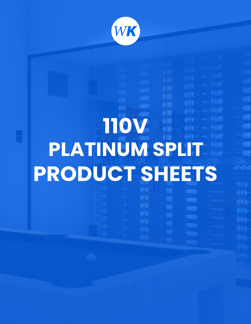

# **PLATINUM SPLIT PRODUCT SHEETS 110V**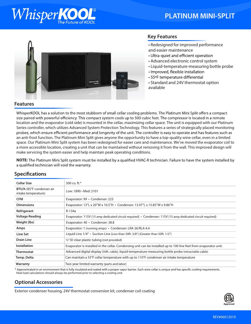## WhisperK

### **PLATINUM MINI-SPLIT**



#### **Key Features**

- Redesigned for improved performance and easier maintenance
- Ultra-quiet and efficient operation
- Advanced electronic control system
- Liquid-temperature-measuring bottle probe
- · Improved, flexible installation
- 55°F temperature differential
- Standard and 24V thermostat option available

#### **Features**

WhisperKOOL has a solution to the most stubborn of small cellar cooling problems. The Platinum Mini Split offers a compact size paired with powerful efficiency. This compact system cools up to 500 cubic feet. The compressor is located in a remote location and the evaporator (cold side) is mounted in the cellar, maximizing cellar space. The unit is equipped with our Platinum Series controller, which utilizes Advanced System Protection Technology. This features a series of strategically placed monitoring probes, which ensure efficient performance and longevity of the unit. The controller is easy to operate and has features such as an anti-frost function. The Platinum Mini Split gives anyone the opportunity to have a top-quality wine cellar, even in a limited space. Our Platinum Mini Split system has been redesigned for easier care and maintenance. We've moved the evaporator coil to a more accessible location, creating a unit that can be maintained without removing it from the wall. This improved design will make servicing the system easier and help maintain peak operating conditions.

**NOTE:** The Platinum Mini Split system must be installed by a qualified HVAC-R technician. Failure to have the system installed by a qualified technician will void the warranty.

| Low: 1890 • Med: 2101                                                                                                                                                                                                          |  |  |
|--------------------------------------------------------------------------------------------------------------------------------------------------------------------------------------------------------------------------------|--|--|
| Evaporator: 99 · Condenser: 223                                                                                                                                                                                                |  |  |
| Evaporator: 13"L x 20"W x 10.5"H • Condenser: 13.97"L x 15.85"W x 9.86"H                                                                                                                                                       |  |  |
| R-134a                                                                                                                                                                                                                         |  |  |
| Evaporator: 115V (15 amp dedicated circuit required) $\cdot$ Condenser: 115V (15 amp dedicated circuit required)                                                                                                               |  |  |
| Evaporator: 40 • Condenser: 38.8                                                                                                                                                                                               |  |  |
| Evaporator: 1 (running amps) · Condenser: LRA 26/RLA 4.4                                                                                                                                                                       |  |  |
| Liquid Line 1/4" • Suction Line (Less than 50ft. 3/8") (Greater than 50ft. 1/2")                                                                                                                                               |  |  |
| $\frac{1}{2}$ " ID clear plastic tubing (not provided)                                                                                                                                                                         |  |  |
| Evaporator is installed in the cellar. Condensing unit can be installed up to 100 line feet from evaporator unit.                                                                                                              |  |  |
| Advanced digital display (50ft. cable), liquid-temperature-measuring bottle probe (retractable cable)                                                                                                                          |  |  |
| Can maintain a $55^{\circ}$ F cellar temperature with up to 110 $^{\circ}$ F condenser air intake temperature                                                                                                                  |  |  |
| Two-year limited warranty (parts and labor)                                                                                                                                                                                    |  |  |
| * Accounting the commission of the fight the clear department of management and the commission of the commission of the commission of the commission of the commission of the commission of the commission of the commission o |  |  |

#### **Specifications**

Approximated in an environment that is fully insulated and sealed with a proper vapor barrier. Each wine cellar is unique and has specific cooling requirements. Heat load calculations should always be performed prior to selecting a cooling unit.

#### **Optional Accessories**

Exterior condenser housing, 24V thermostat conversion kit, condenser coil coating

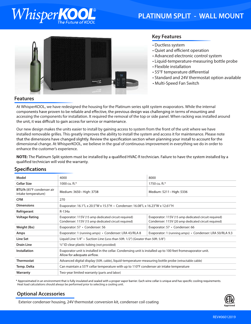## WhisperK

### **PLATINUM SPLIT - WALL MOUNT**



#### **Key Features**

- Ductless system
- Quiet and efficient operation
- Advanced electronic control system
- Liquid-temperature-measuring bottle probe
- Flexible installation
- 55°F temperature differential
- Standard and 24V thermostat option available
- Multi-Speed Fan Switch

#### **Features**

At WhisperKOOL, we have redesigned the housing for the Platinum series split system evaporators. While the internal components have proven to be reliable and effective, the previous design was challenging in terms of mounting and accessing the components for installation. It required the removal of the top or side panel. When racking was installed around the unit, it was difficult to gain access for service or maintenance.

Our new design makes the units easier to install by gaining access to system from the front of the unit where we have installed removable grilles. This greatly improves the ability to install the system and access it for maintenance. Please note that the dimensions have changed slightly. Review the specification section when planning your install to account for the dimensional change. At WhisperKOOL, we believe in the goal of continuous improvement in everything we do in order to enhance the customer's experience.

**NOTE:** The Platinum Split system must be installed by a qualified HVAC-R technician. Failure to have the system installed by a qualified technician will void the warranty.

| Model                                            | 4000                                                                                                                                        | 8000                                                                                                        |  |
|--------------------------------------------------|---------------------------------------------------------------------------------------------------------------------------------------------|-------------------------------------------------------------------------------------------------------------|--|
| <b>Cellar Size</b>                               | 1000 cu. ft.*                                                                                                                               | 1750 cu. ft.*                                                                                               |  |
| BTU/h (85°F condenser air<br>intake temperature) | Medium: 3650 • High: 3738                                                                                                                   | Medium: 5211 • High: 5336                                                                                   |  |
| <b>CFM</b>                                       | 270                                                                                                                                         |                                                                                                             |  |
| <b>Dimensions</b>                                | Evaporator: 16.1"L x 20.5"W x 15.5"H • Condenser: 16.08"L x 16.23"W x 12.61"H                                                               |                                                                                                             |  |
| Refrigerant                                      | R-134a                                                                                                                                      |                                                                                                             |  |
| <b>Voltage Rating</b>                            | Evaporator: 115V (15 amp dedicated circuit required)<br>Condenser: 115V (15 amp dedicated circuit required)                                 | Evaporator: 115V (15 amp dedicated circuit required)<br>Condenser: 115V (20 amp dedicated circuit required) |  |
| Weight (lbs)                                     | Evaporator: 57 • Condenser: 56                                                                                                              | Evaporator: 57 · Condenser: 66                                                                              |  |
| Amps                                             | Evaporator: 1 (running amps) • Condenser: LRA 43/RLA 8                                                                                      | Evaporator: 1 (running amps) • Condenser: LRA 50/RLA 9.3                                                    |  |
| Line Set                                         | Liquid Line 1/4" • Suction Line (Less than 50ft. 1/2") (Greater than 50ft. 5/8")                                                            |                                                                                                             |  |
| <b>Drain Line</b>                                | $\frac{1}{2}$ " ID clear plastic tubing (not provided)                                                                                      |                                                                                                             |  |
| <b>Installation</b>                              | Evaporator unit is installed in the cellar. Condensing unit is installed up to 100 feet fromevaporator unit.<br>Allow for adequate airflow. |                                                                                                             |  |
| Thermostat                                       | Advanced digital display (50ft. cable), liquid-temperature-measuring bottle probe (retractable cable)                                       |                                                                                                             |  |
| Temp. Delta                                      | Can maintain a 55°F cellar temperature with up to 110°F condenser air intake temperature                                                    |                                                                                                             |  |
| Warranty                                         | Two-year limited warranty (parts and labor)                                                                                                 |                                                                                                             |  |

#### **Specifications**

\* Approximated in an environment that is fully insulated and sealed with a proper vapor barrier. Each wine cellar is unique and has specific cooling requirements. Heat load calculations should always be performed prior to selecting a cooling unit.

#### **Optional Accessories**

Exterior condenser housing, 24V thermostat conversion kit, condenser coil coating